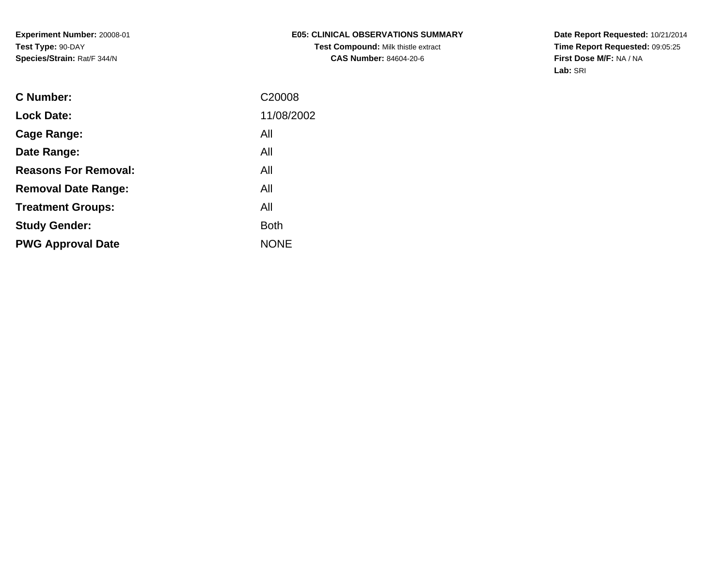**Date Report Requested:** 10/21/2014 **Time Report Requested:** 09:05:25**First Dose M/F:** NA / NA**Lab:** SRI

| <b>C</b> Number:            | C <sub>20008</sub> |
|-----------------------------|--------------------|
| <b>Lock Date:</b>           | 11/08/2002         |
| Cage Range:                 | All                |
| Date Range:                 | All                |
| <b>Reasons For Removal:</b> | All                |
| <b>Removal Date Range:</b>  | All                |
| <b>Treatment Groups:</b>    | All                |
| <b>Study Gender:</b>        | <b>Both</b>        |
| <b>PWG Approval Date</b>    | <b>NONE</b>        |
|                             |                    |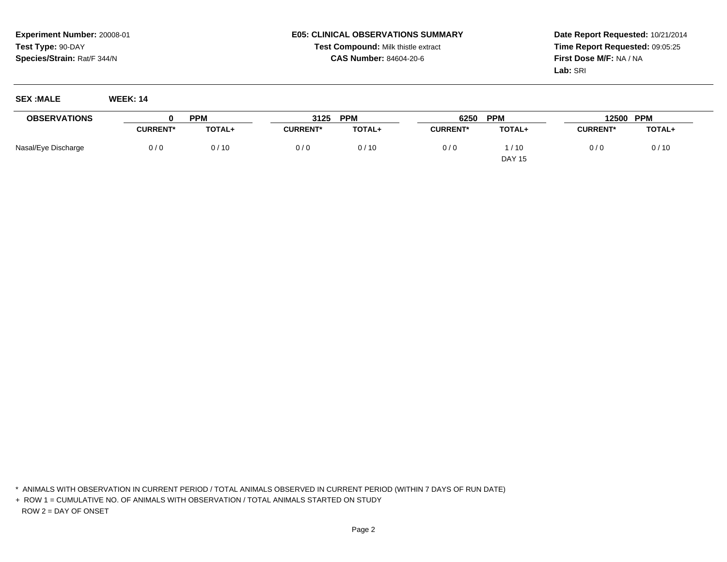#### **E05: CLINICAL OBSERVATIONS SUMMARYTest Compound:** Milk thistle extract**CAS Number:** 84604-20-6

**Date Report Requested:** 10/21/2014**Time Report Requested:** 09:05:25**First Dose M/F:** NA / NA**Lab:** SRI

| :MALE<br>SEY        | WFFK·14 |            |                             |      |     |
|---------------------|---------|------------|-----------------------------|------|-----|
| <b>OBSERVATIONS</b> |         | <b>PPM</b> | <b>PPM</b><br>つイつに<br>ง เ ย | 6250 | PPM |

| <b>OBSERVATIONS</b> |                 | <b>PPM</b>    | 3125            | <b>PPM</b> | 6250            | <b>PPM</b>    | 12500           | <b>PPM</b> |
|---------------------|-----------------|---------------|-----------------|------------|-----------------|---------------|-----------------|------------|
|                     | <b>CURRENT*</b> | <b>TOTAL+</b> | <b>CURRENT*</b> | TOTAL+     | <b>CURRENT*</b> | <b>TOTAL+</b> | <b>CURRENT*</b> | TOTAL+     |
| Nasal/Eye Discharge | 0/0             | 0/10          | 0/0             | 0/10       | 0/0             | /10           | 0/0             | 0/10       |
|                     |                 |               |                 |            |                 | <b>DAY 15</b> |                 |            |

\* ANIMALS WITH OBSERVATION IN CURRENT PERIOD / TOTAL ANIMALS OBSERVED IN CURRENT PERIOD (WITHIN 7 DAYS OF RUN DATE)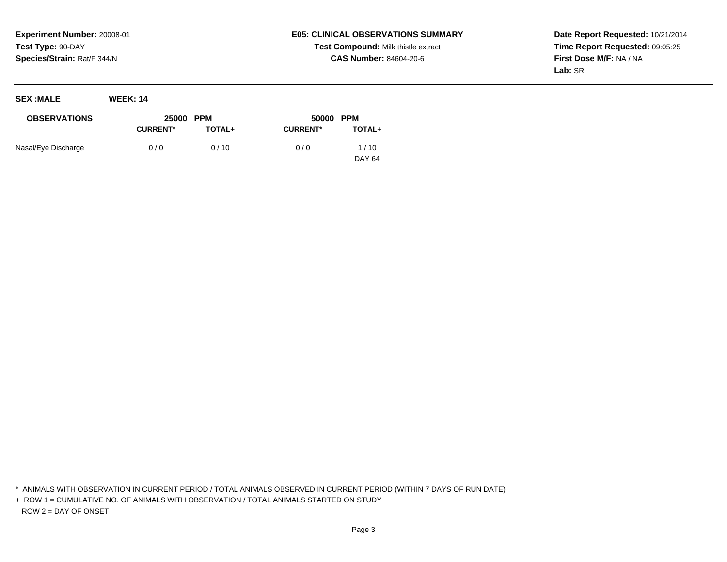# **E05: CLINICAL OBSERVATIONS SUMMARYTest Compound:** Milk thistle extract**CAS Number:** 84604-20-6

**Date Report Requested:** 10/21/2014**Time Report Requested:** 09:05:25**First Dose M/F:** NA / NA**Lab:** SRI

| <b>SEX:MALE</b>     | <b>WEEK: 14</b> |            |                 |           |
|---------------------|-----------------|------------|-----------------|-----------|
| <b>OBSERVATIONS</b> | 25000           | <b>PPM</b> |                 | 50000 PPM |
|                     | <b>CURRENT*</b> | TOTAL+     | <b>CURRENT*</b> | TOTAL+    |
| Nasal/Eye Discharge | 0/0             | 0/10       | 0/0             | /10       |

DAY 64

\* ANIMALS WITH OBSERVATION IN CURRENT PERIOD / TOTAL ANIMALS OBSERVED IN CURRENT PERIOD (WITHIN 7 DAYS OF RUN DATE)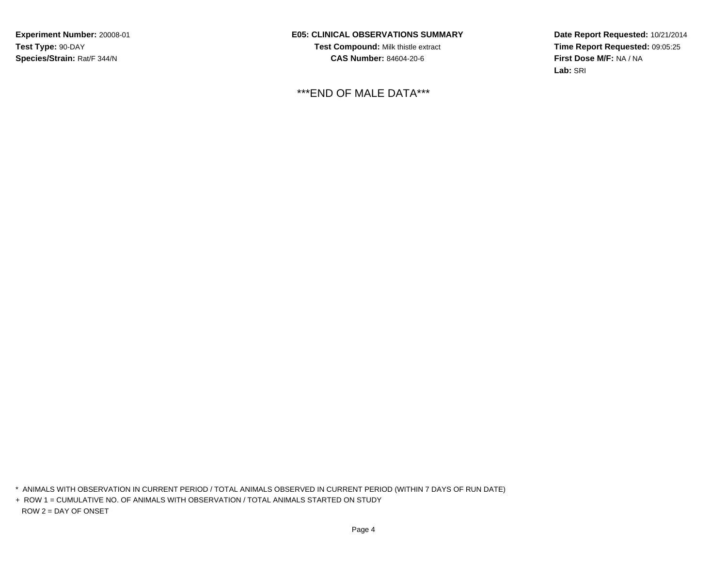**E05: CLINICAL OBSERVATIONS SUMMARYTest Compound:** Milk thistle extract**CAS Number:** 84604-20-6

\*\*\*END OF MALE DATA\*\*\*

**Date Report Requested:** 10/21/2014**Time Report Requested:** 09:05:25**First Dose M/F:** NA / NA**Lab:** SRI

\* ANIMALS WITH OBSERVATION IN CURRENT PERIOD / TOTAL ANIMALS OBSERVED IN CURRENT PERIOD (WITHIN 7 DAYS OF RUN DATE)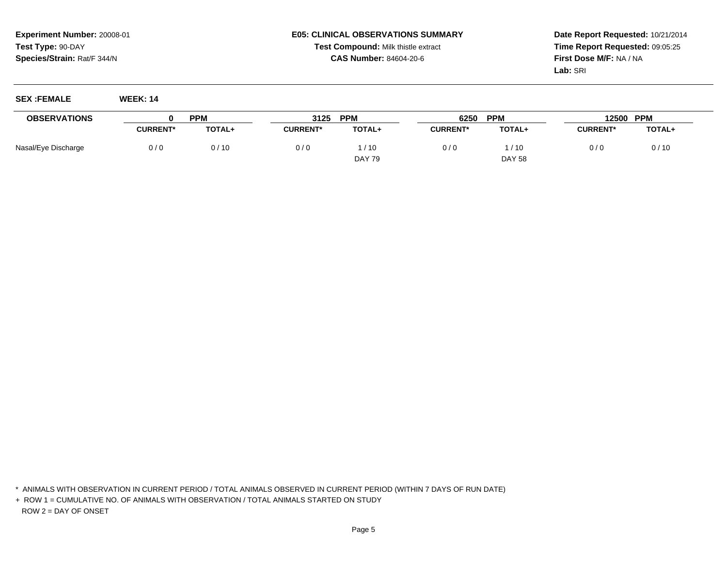#### **E05: CLINICAL OBSERVATIONS SUMMARYTest Compound:** Milk thistle extract**CAS Number:** 84604-20-6

**Date Report Requested:** 10/21/2014**Time Report Requested:** 09:05:25**First Dose M/F:** NA / NA**Lab:** SRI

**SEX :FEMALE WEEK: 14**

| <b>OBSERVATIONS</b> |                 | <b>PPN</b>    | 3125            | <b>PPM</b>    | 6250            | <b>PPM</b>    | 12500           | <b>PPM</b>    |
|---------------------|-----------------|---------------|-----------------|---------------|-----------------|---------------|-----------------|---------------|
|                     | <b>CURRENT*</b> | <b>TOTAL+</b> | <b>CURRENT*</b> | TOTAL+        | <b>CURRENT*</b> | <b>TOTAL+</b> | <b>CURRENT*</b> | <b>TOTAL+</b> |
| Nasal/Eye Discharge | 0/0             | 0/10          | 0/0             | /10           | 0/0             | / 10          | 0/0             | 0/10          |
|                     |                 |               |                 | <b>DAY 79</b> |                 | <b>DAY 58</b> |                 |               |

\* ANIMALS WITH OBSERVATION IN CURRENT PERIOD / TOTAL ANIMALS OBSERVED IN CURRENT PERIOD (WITHIN 7 DAYS OF RUN DATE)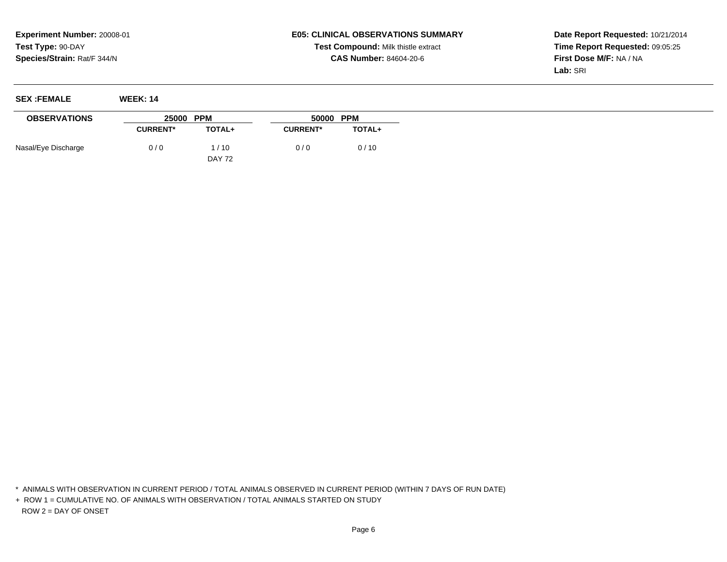### **E05: CLINICAL OBSERVATIONS SUMMARYTest Compound:** Milk thistle extract**CAS Number:** 84604-20-6

**Date Report Requested:** 10/21/2014**Time Report Requested:** 09:05:25**First Dose M/F:** NA / NA**Lab:** SRI

| <b>SEX :FEMALE</b>  | <b>WEEK: 14</b> |               |                 |        |
|---------------------|-----------------|---------------|-----------------|--------|
| <b>OBSERVATIONS</b> | 25000 PPM       |               | 50000 PPM       |        |
|                     | <b>CURRENT*</b> | TOTAL+        | <b>CURRENT*</b> | TOTAL+ |
| Nasal/Eye Discharge | 0/0             | 1/10          | 0/0             | 0/10   |
|                     |                 | <b>DAY 72</b> |                 |        |

\* ANIMALS WITH OBSERVATION IN CURRENT PERIOD / TOTAL ANIMALS OBSERVED IN CURRENT PERIOD (WITHIN 7 DAYS OF RUN DATE)